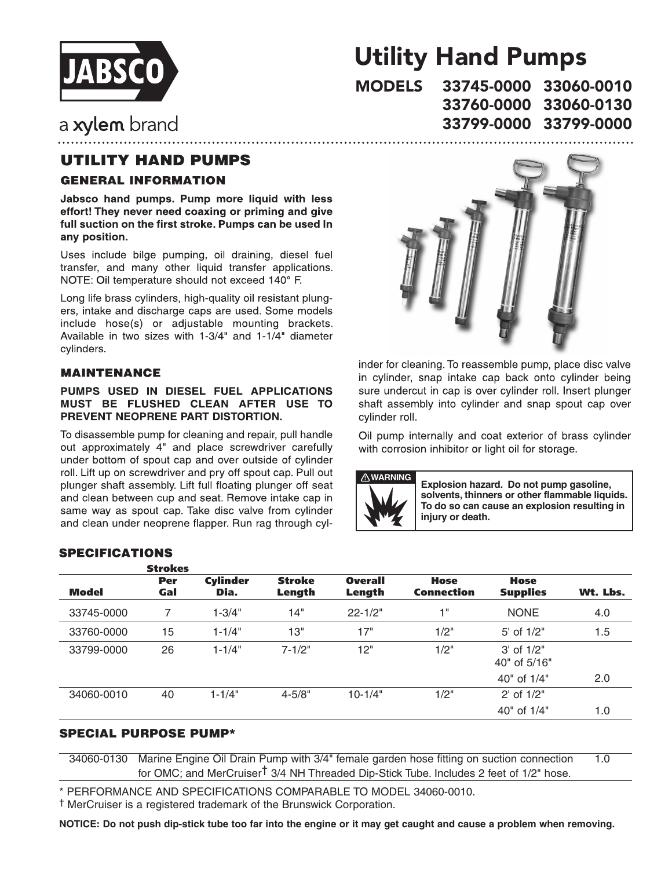

# Utility Hand Pumps

33745-0000 33060-0010 33760-0000 33060-0130 33799-0000 33799-0000**MODELS** 

# a xylem brand

# **UTILITY HAND PUMPS**

### **GENERAL INFORMATION**

Jabsco hand pumps. Pump more liquid with less effort! They never need coaxing or priming and give full suction on the first stroke. Pumps can be used In any position.

Uses include bilge pumping, oil draining, diesel fuel transfer, and many other liquid transfer applications. NOTE: Oil temperature should not exceed 140° F.

Long life brass cylinders, high-quality oil resistant plungers, intake and discharge caps are used. Some models include hose(s) or adjustable mounting brackets. Available in two sizes with 1-3/4" and 1-1/4" diameter cylinders.

#### **MAINTENANCE**

#### PUMPS USED IN DIESEL FUEL APPLICATIONS MUST BE FLUSHED CLEAN AFTER USE TO PREVENT NEOPRENE PART DISTORTION.

To disassemble pump for cleaning and repair, pull handle out approximately 4" and place screwdriver carefully under bottom of spout cap and over outside of cylinder roll. Lift up on screwdriver and pry off spout cap. Pull out plunger shaft assembly. Lift full floating plunger off seat and clean between cup and seat. Remove intake cap in same way as spout cap. Take disc valve from cylinder and clean under neoprene flapper. Run rag through cyl-



inder for cleaning. To reassemble pump, place disc valve in cylinder, snap intake cap back onto cylinder being sure undercut in cap is over cylinder roll. Insert plunger shaft assembly into cylinder and snap spout cap over cylinder roll.

Oil pump internally and coat exterior of brass cylinder with corrosion inhibitor or light oil for storage.



**Explosion hazard. Do not pump gasoline, solvents, thinners or other flammable liquids. To do so can cause an explosion resulting in injury or death.**

### **SPECIFICATIONS**

|            | <b>Strokes</b> |                         |                         |                          |                                  |                                |          |
|------------|----------------|-------------------------|-------------------------|--------------------------|----------------------------------|--------------------------------|----------|
| Model      | Per<br>Gal     | <b>Cylinder</b><br>Dia. | <b>Stroke</b><br>Length | <b>Overall</b><br>Length | <b>Hose</b><br><b>Connection</b> | <b>Hose</b><br><b>Supplies</b> | Wt. Lbs. |
| 33745-0000 | 7              | $1 - 3/4"$              | 14"                     | $22 - 1/2"$              | 1"                               | <b>NONE</b>                    | 4.0      |
| 33760-0000 | 15             | $1 - 1/4"$              | 13"                     | 17"                      | 1/2"                             | $5'$ of $1/2"$                 | 1.5      |
| 33799-0000 | 26             | $1 - 1/4"$              | $7 - 1/2"$              | 12"                      | 1/2"                             | $3'$ of $1/2"$<br>40" of 5/16" |          |
|            |                |                         |                         |                          |                                  | 40" of 1/4"                    | 2.0      |
| 34060-0010 | 40             | $1 - 1/4"$              | $4 - 5/8"$              | $10-1/4"$                | 1/2"                             | 2' of 1/2"                     |          |
|            |                |                         |                         |                          |                                  | 40" of 1/4"                    | 1.0      |

#### SPECIAL PURPOSE PUMP\*

34060-0130 Marine Engine Oil Drain Pump with 3/4" female garden hose fitting on suction connection 1.0 for OMC; and MerCruiser† 3/4 NH Threaded Dip-Stick Tube. Includes 2 feet of 1/2" hose.

\* PERFORMANCE AND SPECIFICATIONS COMPARABLE TO MODEL 34060-0010.

† MerCruiser is a registered trademark of the Brunswick Corporation.

**NOTICE: Do not push dip-stick tube too far into the engine or it may get caught and cause a problem when removing.**